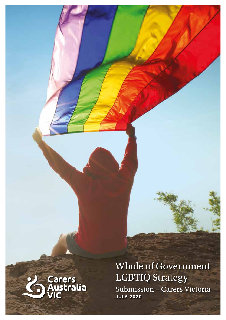

Whole of Government LGBTIQ Strategy Submission – Carers Victoria JULY 2020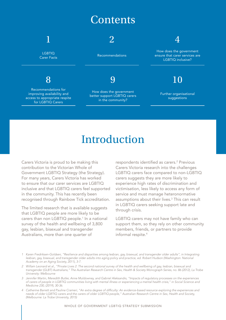### **Contents**



**LGBTIQ** Carer Facts

### 8

Recommendations for improving availability and access to appropriate respite for LGBTIQ Carers

### 2

Recommendations

### 9

How does the government better support LGBTIQ carers in the community?

### 4

How does the government ensure that carer services are LGBTIQ inclusive?

### 10

Further organisational suggestions

## Introduction

Carers Victoria is proud to be making this contribution to the Victorian Whole of Government LGBTIQ Strategy (the Strategy). For many years, Carers Victoria has worked to ensure that our carer services are LGBTIQ inclusive and that LGBTIQ carers feel supported in the community. This has recently been recognised through Rainbow Tick accreditation.

The limited research that is available suggests that LGBTIQ people are more likely to be carers than non LGBTIQ people.<sup>1</sup> In a national survey of the health and wellbeing of 3,800 gay, lesbian, bisexual and transgender Australians, more than one quarter of

respondents identified as carers.<sup>2</sup> Previous Carers Victoria research into the challenges LGBTIQ carers face compared to non-LGBTIQ carers suggests they are more likely to experience high rates of discrimination and victimisation, less likely to access any form of service and must manage heteronormative assumptions about their lives.<sup>3</sup> This can result in LGBTIQ carers seeking support late and through crisis.

LGBTIQ carers may not have family who can support them, so they rely on other community members, friends, or partners to provide informal respite.<sup>4</sup>

- *1 Karen Fredriksen-Goldsen, "Resilience and disparities among lesbian, gay, bisexual, and transgender older adults", in Integrating*  lesbian, gay, bisexual, and transgender older adults into aging policy and practice, ed. Robert Hudson (Washington: National *Academy on an Aging Society, 2011), 3-7.*
- *2 Willam Leonard et al., "Private Lives 2: The second national survey of the health and wellbeing of gay, lesbian, bisexual and transgender (GLBT) Australians," The Australian Research Centre in Sex, Health & Society Monograph Series, no. 86 (2012), La Trobe University: Melbourne*
- *3 Jennifer Martin, Meredith Butler, Anne Muldowney, and Gabriel Aleksandrs, "Impacts of regulatory processes on the experiences of carers of people in LGBTIQ communities living with mental illness or experiencing a mental health crisis," in Social Science and Medicine 230, (2019), 30-36.*
- 4 Catherine Barrett and Pauline Crameri, "An extra degree of difficulty: An evidence-based resource exploring the experiences and *needs of older LGBTIQ carers and the carers of older LGBTIQ people," Australian Research Centre in Sex, Health and Society, (Melbourne: La Trobe University, 2015)*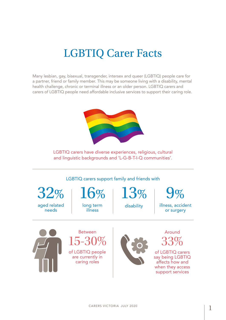## LGBTIQ Carer Facts

Many lesbian, gay, bisexual, transgender, intersex and queer (LGBTIQ) people care for a partner, friend or family member. This may be someone living with a disability, mental health challenge, chronic or terminal illness or an older person. LGBTIQ carers and carers of LGBTIQ people need affordable inclusive services to support their caring role.



LGBTIQ carers have diverse experiences, religious, cultural and linguistic backgrounds and 'L-G-B-T-I-Q communities'.

LGBTIQ carers support family and friends with

32% aged related needs

 $\mathcal{O}_{\Omega}$ long term

illness

13% disability

9%

illness, accident or surgery



Between 15-30% of LGBTIQ people are currently in caring roles



Around 33%

of LGBTIQ carers say being LGBTIQ affects how and when they access support services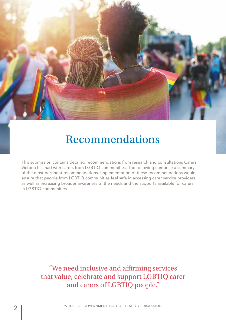

## Recommendations

This submission contains detailed recommendations from research and consultations Carers Victoria has had with carers from LGBTIQ communities. The following comprise a summary of the most pertinent recommendations. Implementation of these recommendations would ensure that people from LGBTIQ communities feel safe in accessing carer service providers as well as increasing broader awareness of the needs and the supports available for carers in LGBTIQ communities.

> "We need inclusive and affirming services that value, celebrate and support LGBTIQ carer and carers of LGBTIQ people."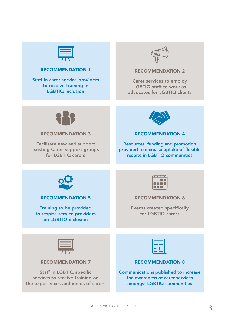

#### RECOMMENDATION 1

Staff in carer service providers to receive training in LGBTIQ inclusion



#### RECOMMENDATION 2

Carer services to employ LGBTIQ staff to work as advocates for LGBTIQ clients



#### RECOMMENDATION 3

Facilitate new and support existing Carer Support groups for LGBTIQ carers



#### RECOMMENDATION 4

Resources, funding and promotion provided to increase uptake of flexible respite in LGBTIQ communities



#### RECOMMENDATION 5

Training to be provided to respite service providers on LGBTIQ inclusion



#### RECOMMENDATION 6

Events created specifically for LGBTIQ carers



#### RECOMMENDATION 7

Staff in LGBTIQ specific services to receive training on the experiences and needs of carers



#### RECOMMENDATION 8

Communications published to increase the awareness of carer services amongst LGBTIQ communities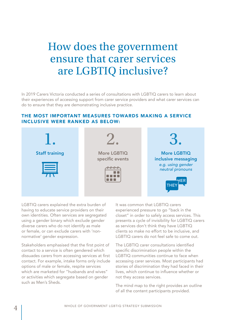## How does the government ensure that carer services are LGBTIQ inclusive?

In 2019 Carers Victoria conducted a series of consultations with LGBTIQ carers to learn about their experiences of accessing support from carer service providers and what carer services can do to ensure that they are demonstrating inclusive practice.

#### THE MOST IMPORTANT MEASURES TOWARDS MAKING A SERVICE INCLUSIVE WERE RANKED AS BELOW:



LGBTIQ carers explained the extra burden of having to educate service providers on their own identities. Often services are segregated using a gender binary which exclude gender diverse carers who do not identify as male or female, or can exclude carers with 'nonnormative' gender expression.

Stakeholders emphasised that the first point of contact to a service is often gendered which dissuades carers from accessing services at first contact. For example, intake forms only include options of male or female, respite services which are marketed for "husbands and wives" or activities which segregate based on gender such as Men's Sheds.

It was common that LGBTIQ carers experienced pressure to go "back in the closet" in order to safely access services. This presents a cycle of invisibility for LGBTIQ carers as services don't think they have LGBTIQ clients so make no effort to be inclusive, and LGBTIQ carers do not feel safe to come out.

The LGBTIQ carer consultations identified specific discrimination people within the LGBTIQ communities continue to face when accessing carer services. Most participants had stories of discrimination they had faced in their lives, which continue to influence whether or not they access services.

The mind map to the right provides an outline of all the content participants provided.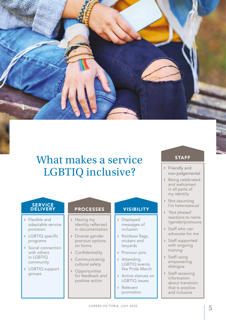

## What makes a service LGBTIQ inclusive? Priendly and

#### **SERVICE** DELIVERY

- › Flexible and adaptable service provision
- › LGBTIQ specific programs
- › Social connection with others in LGBTIQ community
- › LGBTIQ support groups

### PROCESSES VISIBILITY

- › Having my identity reflected in documentation
- › Diverse gender pronoun options on forms
- › Confidentiality
- › Communicating cultural safety
- › Opportunities for feedback and positive action

- › Displayed messages of inclusion
- › Rainbow flags, stickers and lanyards
- › Pronoun pins
- › Attending LGBTIQ events like Pride March
- › Active stances on LGBTIQ issues
- › Relevant promotion

#### STAFF

- non-judgemental
- › Being celebrated and welcomed in all parts of my identity
- › Not assuming I'm heterosexual
- › 'Not phased' reactions to name /gender/pronouns
- › Staff who can advocate for me
- › Staff supported with ongoing training
- › Staff using empowering dialogue
- › Staff receiving information about transition that is positive and inclusive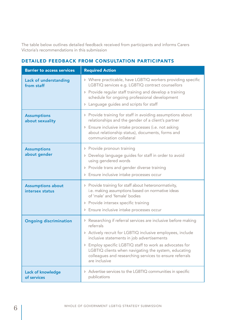The table below outlines detailed feedback received from participants and informs Carers Victoria's recommendations in this submission

| <b>Barrier to access services</b>           | <b>Required Action</b>                                                                                                                                                                                                                                                                                                                                                                 |
|---------------------------------------------|----------------------------------------------------------------------------------------------------------------------------------------------------------------------------------------------------------------------------------------------------------------------------------------------------------------------------------------------------------------------------------------|
| Lack of understanding<br>from staff         | > Where practicable, have LGBTIQ workers providing specific<br>LGBTIQ services e.g. LGBTIQ contract counsellors<br>> Provide regular staff training and develop a training<br>schedule for ongoing professional development<br>> Language guides and scripts for staff                                                                                                                 |
| <b>Assumptions</b><br>about sexuality       | > Provide training for staff in avoiding assumptions about<br>relationships and the gender of a client's partner<br>> Ensure inclusive intake processes (i.e. not asking<br>about relationship status), documents, forms and<br>communication collateral                                                                                                                               |
| <b>Assumptions</b><br>about gender          | > Provide pronoun training<br>> Develop language guides for staff in order to avoid<br>using gendered words<br>> Provide trans and gender diverse training<br>> Ensure inclusive intake processes occur                                                                                                                                                                                |
| <b>Assumptions about</b><br>intersex status | > Provide training for staff about heteronormativity,<br>i.e. making assumptions based on normative ideas<br>of 'male' and 'female' bodies<br>> Provide intersex specific training<br>> Ensure inclusive intake processes occur                                                                                                                                                        |
| <b>Ongoing discrimination</b>               | > Researching if referral services are inclusive before making<br>referrals<br>> Actively recruit for LGBTIQ inclusive employees, include<br>inclusive statements in job advertisements<br>> Employ specific LGBTIQ staff to work as advocates for<br>LGBTIQ clients when navigating the system, educating<br>colleagues and researching services to ensure referrals<br>are inclusive |
| <b>Lack of knowledge</b><br>of services     | > Advertise services to the LGBTIQ communities in specific<br>publications                                                                                                                                                                                                                                                                                                             |

### DETAILED FEEDBACK FROM CONSULTATION PARTICIPANTS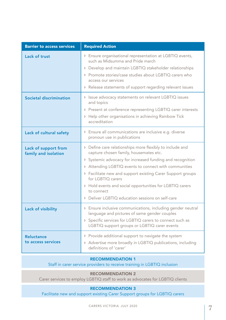| <b>Barrier to access services</b>            | <b>Required Action</b>                                                                                                                                                                                                                                                                                                                                                                                                                    |
|----------------------------------------------|-------------------------------------------------------------------------------------------------------------------------------------------------------------------------------------------------------------------------------------------------------------------------------------------------------------------------------------------------------------------------------------------------------------------------------------------|
| Lack of trust                                | > Ensure organisational representation at LGBTIQ events,<br>such as Midsumma and Pride march<br>> Develop and maintain LGBTIQ stakeholder relationships<br>> Promote stories/case studies about LGBTIQ carers who<br>access our services<br>> Release statements of support regarding relevant issues                                                                                                                                     |
| Societal discrimination                      | > Issue advocacy statements on relevant LGBTIQ issues<br>and topics<br>> Present at conference representing LGBTIQ carer interests<br>> Help other organisations in achieving Rainbow Tick<br>accreditation                                                                                                                                                                                                                               |
| Lack of cultural safety                      | > Ensure all communications are inclusive e.g. diverse<br>pronoun use in publications                                                                                                                                                                                                                                                                                                                                                     |
| Lack of support from<br>family and isolation | > Define care relationships more flexibly to include and<br>capture chosen family, housemates etc.<br>> Systemic advocacy for increased funding and recognition<br>> Attending LGBTIQ events to connect with communities<br>> Facilitate new and support existing Carer Support groups<br>for LGBTIQ carers<br>> Hold events and social opportunities for LGBTIQ carers<br>to connect<br>> Deliver LGBTIQ education sessions on self-care |
| Lack of visibility                           | > Ensure inclusive communications, including gender neutral<br>language and pictures of same gender couples<br>> Specific services for LGBTIQ carers to connect such as<br>LGBTIQ support groups or LGBTIQ carer events                                                                                                                                                                                                                   |
| <b>Reluctance</b><br>to access services      | > Provide additional support to navigate the system<br>> Advertise more broadly in LGBTIQ publications, including<br>definitions of 'carer'                                                                                                                                                                                                                                                                                               |

#### RECOMMENDATION 1

Staff in carer service providers to receive training in LGBTIQ inclusion

#### RECOMMENDATION 2

Carer services to employ LGBTIQ staff to work as advocates for LGBTIQ clients

#### RECOMMENDATION 3

Facilitate new and support existing Carer Support groups for LGBTIQ carers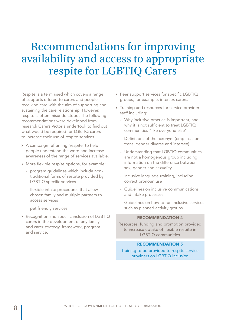## Recommendations for improving availability and access to appropriate respite for LGBTIQ Carers

Respite is a term used which covers a range of supports offered to carers and people receiving care with the aim of supporting and sustaining the care relationship. However, respite is often misunderstood. The following recommendations were developed from research Carers Victoria undertook to find out what would be required for LGBTIQ carers to increase their use of respite services.

- › A campaign reframing 'respite' to help people understand the word and increase awareness of the range of services available.
- › More flexible respite options, for example:
	- program guidelines which include nontraditional forms of respite provided by LGBTIQ specific services
	- flexible intake procedures that allow chosen family and multiple partners to access services
	- pet friendly services
- › Recognition and specific inclusion of LGBTIQ carers in the development of any family and carer strategy, framework, program and service.
- › Peer support services for specific LGBTIQ groups, for example, intersex carers.
- › Training and resources for service provider staff including:
	- Why inclusive practice is important, and why it is not sufficient to treat LGBTIQ communities "like everyone else"
	- Definitions of the acronym (emphasis on trans, gender diverse and intersex)
	- Understanding that LGBTIQ communities are not a homogenous group including information on the difference between sex, gender and sexuality
	- Inclusive language training, including correct pronoun use
	- Guidelines on inclusive communications and intake processes
	- Guidelines on how to run inclusive services such as planned activity groups

#### RECOMMENDATION 4

Resources, funding and promotion provided to increase uptake of flexible respite in LGBTIQ communities

#### RECOMMENDATION 5

Training to be provided to respite service providers on LGBTIQ inclusion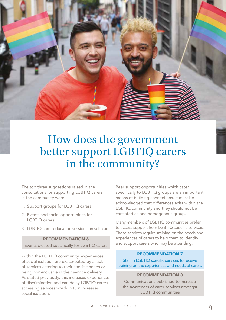How does the government better support LGBTIQ carers in the community?

The top three suggestions raised in the consultations for supporting LGBTIQ carers in the community were:

- 1. Support groups for LGBTIQ carers
- 2. Events and social opportunities for LGBTIQ carers
- 3. LGBTIQ carer education sessions on self-care

#### RECOMMENDATION 6

Events created specifically for LGBTIQ carers

Within the LGBTIQ community, experiences of social isolation are exacerbated by a lack of services catering to their specific needs or being non-inclusive in their service delivery. As stated previously, this increases experiences of discrimination and can delay LGBTIQ carers accessing services which in turn increases social isolation.

Peer support opportunities which cater specifically to LGBTIQ groups are an important means of building connections. It must be acknowledged that differences exist within the LGBTIQ community and they should not be conflated as one homogenous group.

Many members of LGBTIQ communities prefer to access support from LGBTIQ specific services. These services require training on the needs and experiences of carers to help them to identify and support carers who may be attending.

#### RECOMMENDATION 7

Staff in LGBTIQ specific services to receive training on the experiences and needs of carers

#### RECOMMENDATION 8

Communications published to increase the awareness of carer services amongst LGBTIQ communities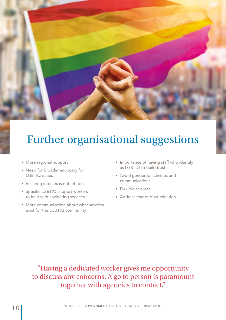

# Further organisational suggestions

- › More regional support
- › Need for broader advocacy for LGBTIQ issues
- › Ensuring intersex is not left out
- › Specific LGBTIQ support workers to help with navigating services
- › More communication about what services exist for the LGBTIQ community
- › Importance of having staff who identify as LGBTIQ to build trust
- › Avoid gendered activities and communications
- › Flexible services
- › Address fear of discrimination

"Having a dedicated worker gives me opportunity to discuss any concerns. A go to person is paramount together with agencies to contact."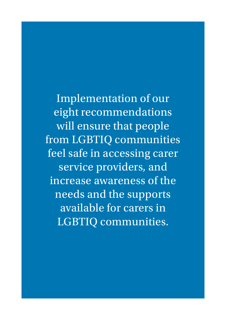Implementation of our eight recommendations will ensure that people from LGBTIQ communities feel safe in accessing carer service providers, and increase awareness of the needs and the supports available for carers in LGBTIQ communities.